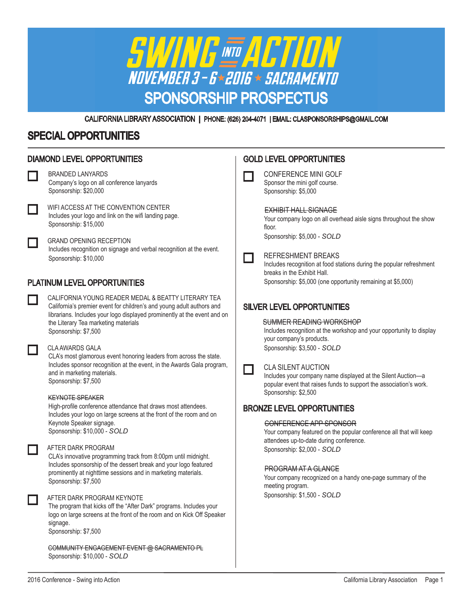

CALIFORNIA LIBRARY ASSOCIATION | PHONE: (626) 204-4071 | EMAIL: CLASPONSORSHIPS@GMAIL.COM

## SPECIAL OPPORTUNITIES

| <b>DIAMOND LEVEL OPPORTUNITIES</b>  |                                                                                                                                                                                                                                                                          | <b>GOLD LEVEL OPPORTUNITIES</b> |                                                                                                                                                                                                                        |  |  |  |
|-------------------------------------|--------------------------------------------------------------------------------------------------------------------------------------------------------------------------------------------------------------------------------------------------------------------------|---------------------------------|------------------------------------------------------------------------------------------------------------------------------------------------------------------------------------------------------------------------|--|--|--|
|                                     | <b>BRANDED LANYARDS</b><br>Company's logo on all conference lanyards<br>Sponsorship: \$20,000                                                                                                                                                                            |                                 | <b>CONFERENCE MINI GOLF</b><br>Sponsor the mini golf course.<br>Sponsorship: \$5,000                                                                                                                                   |  |  |  |
|                                     | WIFI ACCESS AT THE CONVENTION CENTER<br>Includes your logo and link on the wifi landing page.<br>Sponsorship: \$15,000                                                                                                                                                   |                                 | <b>EXHIBIT HALL SIGNAGE</b><br>Your company logo on all overhead aisle signs throughout the show<br>floor.                                                                                                             |  |  |  |
|                                     | <b>GRAND OPENING RECEPTION</b><br>Includes recognition on signage and verbal recognition at the event.<br>Sponsorship: \$10,000                                                                                                                                          |                                 | Sponsorship: \$5,000 - SOLD<br>REFRESHMENT BREAKS<br>Includes recognition at food stations during the popular refreshment<br>breaks in the Exhibit Hall.                                                               |  |  |  |
| <b>PLATINUM LEVEL OPPORTUNITIES</b> |                                                                                                                                                                                                                                                                          |                                 | Sponsorship: \$5,000 (one opportunity remaining at \$5,000)                                                                                                                                                            |  |  |  |
|                                     | CALIFORNIA YOUNG READER MEDAL & BEATTY LITERARY TEA<br>California's premier event for children's and young adult authors and<br>librarians. Includes your logo displayed prominently at the event and on<br>the Literary Tea marketing materials<br>Sponsorship: \$7,500 |                                 | <b>SILVER LEVEL OPPORTUNITIES</b><br><b>SUMMER READING WORKSHOP</b><br>Includes recognition at the workshop and your opportunity to display<br>your company's products.                                                |  |  |  |
|                                     | <b>CLA AWARDS GALA</b><br>CLA's most glamorous event honoring leaders from across the state.<br>Includes sponsor recognition at the event, in the Awards Gala program,<br>and in marketing materials.<br>Sponsorship: \$7,500                                            |                                 | Sponsorship: \$3,500 - SOLD<br><b>CLA SILENT AUCTION</b><br>Includes your company name displayed at the Silent Auction-a<br>popular event that raises funds to support the association's work.<br>Sponsorship: \$2,500 |  |  |  |
|                                     | <b>KEYNOTE SPEAKER</b><br>High-profile conference attendance that draws most attendees.<br>Includes your logo on large screens at the front of the room and on<br>Keynote Speaker signage.<br>Sponsorship: \$10,000 - SOLD                                               |                                 | <b>BRONZE LEVEL OPPORTUNITIES</b><br>CONFERENCE APP SPONSOR<br>Your company featured on the popular conference all that will keep                                                                                      |  |  |  |
|                                     | AFTER DARK PROGRAM<br>CLA's innovative programming track from 8:00pm until midnight.<br>Includes sponsorship of the dessert break and your logo featured<br>prominently at nighttime sessions and in marketing materials.<br>Sponsorship: \$7,500                        |                                 | attendees up-to-date during conference.<br>Sponsorship: \$2,000 - SOLD<br><b>PROGRAM AT A GLANCE</b><br>Your company recognized on a handy one-page summary of the<br>meeting program.                                 |  |  |  |
|                                     | AFTER DARK PROGRAM KEYNOTE<br>The program that kicks off the "After Dark" programs. Includes your<br>logo on large screens at the front of the room and on Kick Off Speaker<br>signage.<br>Sponsorship: \$7,500                                                          |                                 | Sponsorship: \$1,500 - SOLD                                                                                                                                                                                            |  |  |  |
|                                     | COMMUNITY ENGAGEMENT EVENT @ SACRAMENTO PL<br>Sponsorship: \$10,000 - SOLD                                                                                                                                                                                               |                                 |                                                                                                                                                                                                                        |  |  |  |